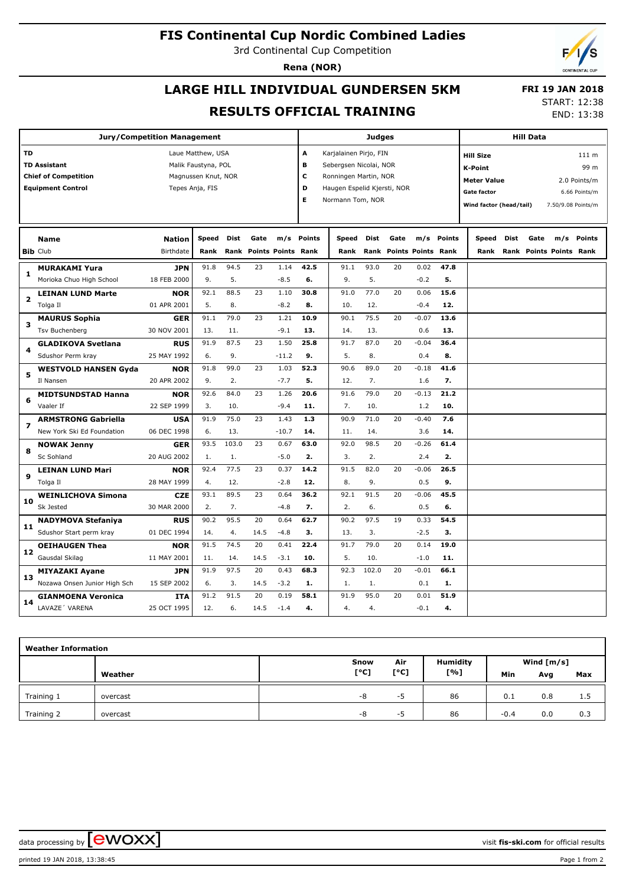#### **FIS Continental Cup Nordic Combined Ladies**

3rd Continental Cup Competition

**Rena (NOR)**

### **LARGE HILL INDIVIDUAL GUNDERSEN 5KM RESULTS OFFICIAL TRAINING**

 **FRI 19 JAN 2018** START: 12:38

END: 13:38

| <b>Jury/Competition Management</b> |                              |               |                     |             |      | <b>Judges</b><br><b>Hill Data</b> |               |                             |       |           |                           |        |                         |      |                         |     |                    |
|------------------------------------|------------------------------|---------------|---------------------|-------------|------|-----------------------------------|---------------|-----------------------------|-------|-----------|---------------------------|--------|-------------------------|------|-------------------------|-----|--------------------|
| TD                                 |                              |               | Laue Matthew, USA   |             |      |                                   | A             | Karjalainen Pirjo, FIN      |       |           |                           |        | <b>Hill Size</b>        |      |                         |     | 111 m              |
| <b>TD Assistant</b>                |                              |               | Malik Faustyna, POL |             |      |                                   | B             | Sebergsen Nicolai, NOR      |       |           |                           |        | <b>K-Point</b>          |      |                         |     | 99 m               |
|                                    | <b>Chief of Competition</b>  |               | Magnussen Knut, NOR |             |      |                                   | c             | Ronningen Martin, NOR       |       |           |                           |        | <b>Meter Value</b>      |      |                         |     | 2.0 Points/m       |
|                                    | <b>Equipment Control</b>     |               | Tepes Anja, FIS     |             |      |                                   | D             | Haugen Espelid Kjersti, NOR |       |           |                           |        | Gate factor             |      |                         |     | 6.66 Points/m      |
|                                    |                              |               |                     |             |      |                                   | Е             | Normann Tom, NOR            |       |           |                           |        | Wind factor (head/tail) |      |                         |     | 7.50/9.08 Points/m |
|                                    |                              |               |                     |             |      |                                   |               |                             |       |           |                           |        |                         |      |                         |     |                    |
|                                    |                              |               |                     |             |      |                                   |               |                             |       |           |                           |        |                         |      |                         |     |                    |
|                                    | <b>Name</b>                  | <b>Nation</b> | Speed               | <b>Dist</b> | Gate | m/s                               | <b>Points</b> | Speed                       | Dist  | Gate      | m/s                       | Points | Speed                   | Dist | Gate                    | m/s | Points             |
|                                    | <b>Bib Club</b>              | Birthdate     | Rank                | Rank        |      | <b>Points Points Rank</b>         |               | Rank                        | Rank  |           | <b>Points Points Rank</b> |        | Rank                    |      | Rank Points Points Rank |     |                    |
|                                    | <b>MURAKAMI Yura</b>         | <b>JPN</b>    | 91.8                | 94.5        | 23   | 1.14                              | 42.5          | 91.1                        | 93.0  | 20        | 0.02                      | 47.8   |                         |      |                         |     |                    |
| 1                                  | Morioka Chuo High School     | 18 FEB 2000   | 9.                  | 5.          |      | $-8.5$                            | 6.            | 9.                          | 5.    |           | $-0.2$                    | 5.     |                         |      |                         |     |                    |
| 2                                  | <b>LEINAN LUND Marte</b>     | <b>NOR</b>    | 92.1                | 88.5        | 23   | 1.10                              | 30.8          | 91.0                        | 77.0  | 20        | 0.06                      | 15.6   |                         |      |                         |     |                    |
|                                    | Tolga II                     | 01 APR 2001   | 5.                  | 8.          |      | $-8.2$                            | 8.            | 10.                         | 12.   |           | $-0.4$                    | 12.    |                         |      |                         |     |                    |
| з                                  | <b>MAURUS Sophia</b>         | <b>GER</b>    | 91.1                | 79.0        | 23   | 1.21                              | 10.9          | 90.1                        | 75.5  | 20        | $-0.07$                   | 13.6   |                         |      |                         |     |                    |
|                                    | <b>Tsv Buchenberg</b>        | 30 NOV 2001   | 13.                 | 11.         |      | $-9.1$                            | 13.           | 14.                         | 13.   |           | 0.6                       | 13.    |                         |      |                         |     |                    |
| 4                                  | <b>GLADIKOVA Svetlana</b>    | <b>RUS</b>    | 91.9                | 87.5        | 23   | 1.50                              | 25.8          | 91.7                        | 87.0  | 20        | $-0.04$                   | 36.4   |                         |      |                         |     |                    |
|                                    | Sdushor Perm kray            | 25 MAY 1992   | 6.                  | 9.          |      | $-11.2$                           | 9.            | 5.                          | 8.    |           | 0.4                       | 8.     |                         |      |                         |     |                    |
|                                    | <b>WESTVOLD HANSEN Gyda</b>  | <b>NOR</b>    | 91.8                | 99.0        | 23   | 1.03                              | 52.3          | 90.6                        | 89.0  | 20        | $-0.18$                   | 41.6   |                         |      |                         |     |                    |
| 5                                  | Il Nansen                    | 20 APR 2002   | 9.                  | 2.          |      | $-7.7$                            | 5.            | 12.                         | 7.    | 1.6<br>7. |                           |        |                         |      |                         |     |                    |
|                                    | <b>MIDTSUNDSTAD Hanna</b>    | <b>NOR</b>    | 92.6                | 84.0        | 23   | 1.26                              | 20.6          | 91.6                        | 79.0  | 20        | $-0.13$                   | 21.2   |                         |      |                         |     |                    |
| 6                                  | Vaaler If                    | 22 SEP 1999   | 3.                  | 10.         |      | $-9.4$                            | 11.           | 7.                          | 10.   |           | 1.2                       | 10.    |                         |      |                         |     |                    |
| 7                                  | <b>ARMSTRONG Gabriella</b>   | <b>USA</b>    | 91.9                | 75.0        | 23   | 1.43                              | 1.3           | 90.9                        | 71.0  | 20        | $-0.40$                   | 7.6    |                         |      |                         |     |                    |
|                                    | New York Ski Ed Foundation   | 06 DEC 1998   | 6.                  | 13.         |      | $-10.7$                           | 14.           | 11.                         | 14.   |           | 3.6                       | 14.    |                         |      |                         |     |                    |
| 8                                  | <b>NOWAK Jenny</b>           | <b>GER</b>    | 93.5                | 103.0       | 23   | 0.67                              | 63.0          | 92.0                        | 98.5  | 20        | $-0.26$                   | 61.4   |                         |      |                         |     |                    |
|                                    | Sc Sohland                   | 20 AUG 2002   | 1.                  | 1.          |      | $-5.0$                            | 2.            | 3.                          | 2.    |           | 2.4                       | 2.     |                         |      |                         |     |                    |
| 9                                  | <b>LEINAN LUND Mari</b>      | <b>NOR</b>    | 92.4                | 77.5        | 23   | 0.37                              | 14.2          | 91.5                        | 82.0  | 20        | $-0.06$                   | 26.5   |                         |      |                         |     |                    |
|                                    | Tolga II                     | 28 MAY 1999   | 4.                  | 12.         |      | $-2.8$                            | 12.           | 8.                          | 9.    |           | 0.5                       | 9.     |                         |      |                         |     |                    |
|                                    | <b>WEINLICHOVA Simona</b>    | <b>CZE</b>    | 93.1                | 89.5        | 23   | 0.64                              | 36.2          | 92.1                        | 91.5  | 20        | $-0.06$                   | 45.5   |                         |      |                         |     |                    |
| 10                                 | Sk Jested                    | 30 MAR 2000   | 2.                  | 7.          |      | $-4.8$                            | 7.            | 2.                          | 6.    |           | 0.5                       | 6.     |                         |      |                         |     |                    |
| 11                                 | <b>NADYMOVA Stefaniya</b>    | <b>RUS</b>    | 90.2                | 95.5        | 20   | 0.64                              | 62.7          | 90.2                        | 97.5  | 19        | 0.33                      | 54.5   |                         |      |                         |     |                    |
|                                    | Sdushor Start perm kray      | 01 DEC 1994   | 14.                 | 4.          | 14.5 | $-4.8$                            | 3.            | 13.                         | 3.    |           | $-2.5$                    | з.     |                         |      |                         |     |                    |
|                                    | <b>OEIHAUGEN Thea</b>        | <b>NOR</b>    | 91.5                | 74.5        | 20   | 0.41                              | 22.4          | 91.7                        | 79.0  | 20        | 0.14                      | 19.0   |                         |      |                         |     |                    |
| 12                                 | Gausdal Skilag               | 11 MAY 2001   | 11.                 | 14.         | 14.5 | $-3.1$                            | 10.           | 5.                          | 10.   |           | $-1.0$                    | 11.    |                         |      |                         |     |                    |
|                                    | <b>MIYAZAKI Ayane</b>        | <b>JPN</b>    | 91.9                | 97.5        | 20   | 0.43                              | 68.3          | 92.3                        | 102.0 | 20        | $-0.01$                   | 66.1   |                         |      |                         |     |                    |
| 13                                 | Nozawa Onsen Junior High Sch | 15 SEP 2002   | 6.                  | 3.          | 14.5 | $-3.2$                            | 1.            | 1.                          | 1.    |           | 0.1                       | 1.     |                         |      |                         |     |                    |
| 14                                 | <b>GIANMOENA Veronica</b>    | <b>ITA</b>    | 91.2                | 91.5        | 20   | 0.19                              | 58.1          | 91.9                        | 95.0  | 20        | 0.01                      | 51.9   |                         |      |                         |     |                    |
|                                    | LAVAZE' VARENA               | 25 OCT 1995   | 12.                 | 6.          | 14.5 | $-1.4$                            | 4.            | 4.                          | 4.    |           | $-0.1$                    | 4.     |                         |      |                         |     |                    |

| <b>Weather Information</b> |          |      |      |                 |            |              |     |  |  |  |  |
|----------------------------|----------|------|------|-----------------|------------|--------------|-----|--|--|--|--|
|                            |          | Snow | Air  | <b>Humidity</b> |            | Wind $[m/s]$ |     |  |  |  |  |
|                            | Weather  | [°C] | [°C] | [%]             | <b>Min</b> | Avg          | Max |  |  |  |  |
| Training 1                 | overcast | -8   | כ-   | 86              | 0.1        | 0.8          | 1.5 |  |  |  |  |
| Training 2                 | overcast | -8   | -5   | 86              | $-0.4$     | 0.0          | 0.3 |  |  |  |  |

data processing by  $\boxed{\text{ewOX}}$ 

printed 19 JAN 2018, 13:38:45 Page 1 from 2